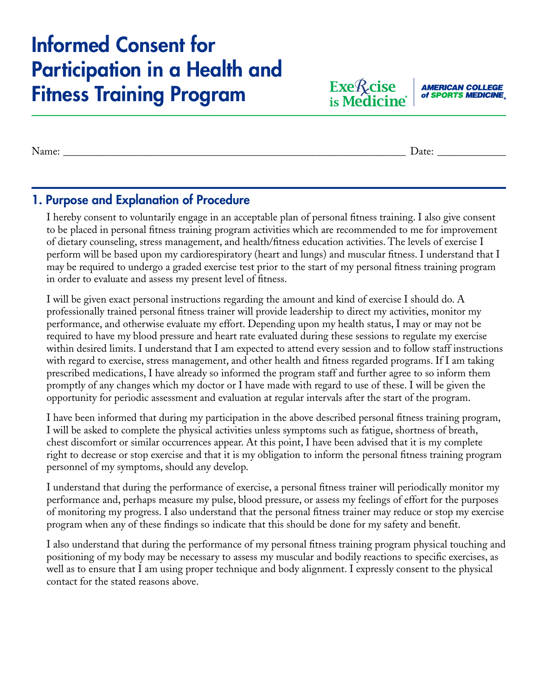# Informed Consent for Participation in a Health and Fitness Training Program

**Exe***R*<sub>cise</sub> is Medicine®

**AMERICAN COLLEGE** of SPORTS MEDICINE

Name:  $\Box$ 

## 1. Purpose and Explanation of Procedure

I hereby consent to voluntarily engage in an acceptable plan of personal fitness training. I also give consent to be placed in personal fitness training program activities which are recommended to me for improvement of dietary counseling, stress management, and health/fitness education activities. The levels of exercise I perform will be based upon my cardiorespiratory (heart and lungs) and muscular fitness. I understand that I may be required to undergo a graded exercise test prior to the start of my personal fitness training program in order to evaluate and assess my present level of fitness.

I will be given exact personal instructions regarding the amount and kind of exercise I should do. A professionally trained personal fitness trainer will provide leadership to direct my activities, monitor my performance, and otherwise evaluate my effort. Depending upon my health status, I may or may not be required to have my blood pressure and heart rate evaluated during these sessions to regulate my exercise within desired limits. I understand that I am expected to attend every session and to follow staff instructions with regard to exercise, stress management, and other health and fitness regarded programs. If I am taking prescribed medications, I have already so informed the program staff and further agree to so inform them promptly of any changes which my doctor or I have made with regard to use of these. I will be given the opportunity for periodic assessment and evaluation at regular intervals after the start of the program.

I have been informed that during my participation in the above described personal fitness training program, I will be asked to complete the physical activities unless symptoms such as fatigue, shortness of breath, chest discomfort or similar occurrences appear. At this point, I have been advised that it is my complete right to decrease or stop exercise and that it is my obligation to inform the personal fitness training program personnel of my symptoms, should any develop.

I understand that during the performance of exercise, a personal fitness trainer will periodically monitor my performance and, perhaps measure my pulse, blood pressure, or assess my feelings of effort for the purposes of monitoring my progress. I also understand that the personal fitness trainer may reduce or stop my exercise program when any of these findings so indicate that this should be done for my safety and benefit.

I also understand that during the performance of my personal fitness training program physical touching and positioning of my body may be necessary to assess my muscular and bodily reactions to specific exercises, as well as to ensure that I am using proper technique and body alignment. I expressly consent to the physical contact for the stated reasons above.